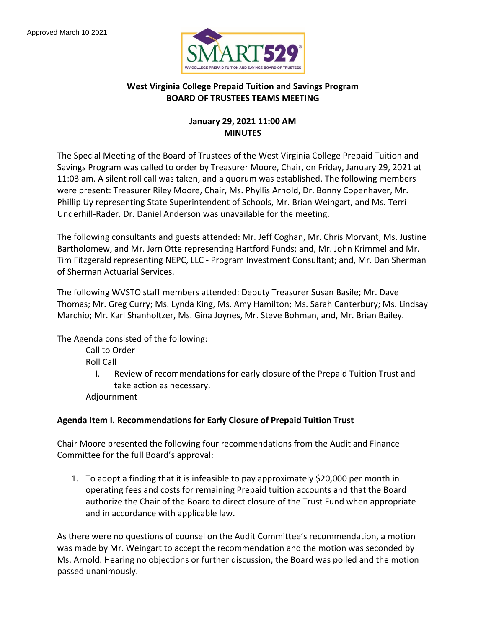

### **West Virginia College Prepaid Tuition and Savings Program BOARD OF TRUSTEES TEAMS MEETING**

### **January 29, 2021 11:00 AM MINUTES**

The Special Meeting of the Board of Trustees of the West Virginia College Prepaid Tuition and Savings Program was called to order by Treasurer Moore, Chair, on Friday, January 29, 2021 at 11:03 am. A silent roll call was taken, and a quorum was established. The following members were present: Treasurer Riley Moore, Chair, Ms. Phyllis Arnold, Dr. Bonny Copenhaver, Mr. Phillip Uy representing State Superintendent of Schools, Mr. Brian Weingart, and Ms. Terri Underhill-Rader. Dr. Daniel Anderson was unavailable for the meeting.

The following consultants and guests attended: Mr. Jeff Coghan, Mr. Chris Morvant, Ms. Justine Bartholomew, and Mr. Jørn Otte representing Hartford Funds; and, Mr. John Krimmel and Mr. Tim Fitzgerald representing NEPC, LLC - Program Investment Consultant; and, Mr. Dan Sherman of Sherman Actuarial Services.

The following WVSTO staff members attended: Deputy Treasurer Susan Basile; Mr. Dave Thomas; Mr. Greg Curry; Ms. Lynda King, Ms. Amy Hamilton; Ms. Sarah Canterbury; Ms. Lindsay Marchio; Mr. Karl Shanholtzer, Ms. Gina Joynes, Mr. Steve Bohman, and, Mr. Brian Bailey.

The Agenda consisted of the following:

Call to Order

Roll Call

I. Review of recommendations for early closure of the Prepaid Tuition Trust and take action as necessary.

Adjournment

### **Agenda Item I. Recommendations for Early Closure of Prepaid Tuition Trust**

Chair Moore presented the following four recommendations from the Audit and Finance Committee for the full Board's approval:

1. To adopt a finding that it is infeasible to pay approximately \$20,000 per month in operating fees and costs for remaining Prepaid tuition accounts and that the Board authorize the Chair of the Board to direct closure of the Trust Fund when appropriate and in accordance with applicable law.

As there were no questions of counsel on the Audit Committee's recommendation, a motion was made by Mr. Weingart to accept the recommendation and the motion was seconded by Ms. Arnold. Hearing no objections or further discussion, the Board was polled and the motion passed unanimously.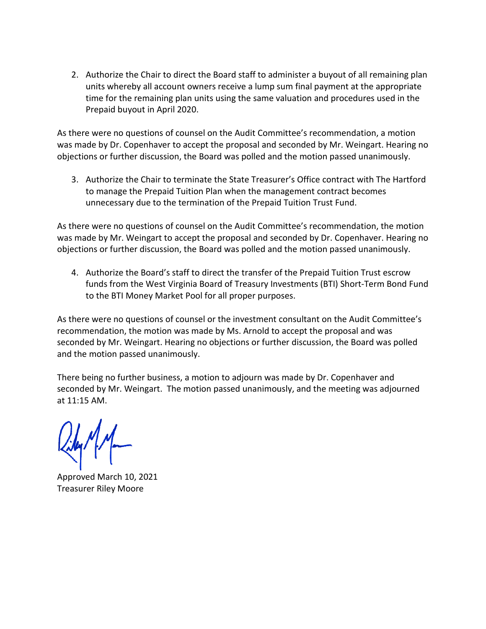2. Authorize the Chair to direct the Board staff to administer a buyout of all remaining plan units whereby all account owners receive a lump sum final payment at the appropriate time for the remaining plan units using the same valuation and procedures used in the Prepaid buyout in April 2020.

As there were no questions of counsel on the Audit Committee's recommendation, a motion was made by Dr. Copenhaver to accept the proposal and seconded by Mr. Weingart. Hearing no objections or further discussion, the Board was polled and the motion passed unanimously.

3. Authorize the Chair to terminate the State Treasurer's Office contract with The Hartford to manage the Prepaid Tuition Plan when the management contract becomes unnecessary due to the termination of the Prepaid Tuition Trust Fund.

As there were no questions of counsel on the Audit Committee's recommendation, the motion was made by Mr. Weingart to accept the proposal and seconded by Dr. Copenhaver. Hearing no objections or further discussion, the Board was polled and the motion passed unanimously.

4. Authorize the Board's staff to direct the transfer of the Prepaid Tuition Trust escrow funds from the West Virginia Board of Treasury Investments (BTI) Short-Term Bond Fund to the BTI Money Market Pool for all proper purposes.

As there were no questions of counsel or the investment consultant on the Audit Committee's recommendation, the motion was made by Ms. Arnold to accept the proposal and was seconded by Mr. Weingart. Hearing no objections or further discussion, the Board was polled and the motion passed unanimously.

There being no further business, a motion to adjourn was made by Dr. Copenhaver and seconded by Mr. Weingart. The motion passed unanimously, and the meeting was adjourned at 11:15 AM.

Approved March 10, 2021 Treasurer Riley Moore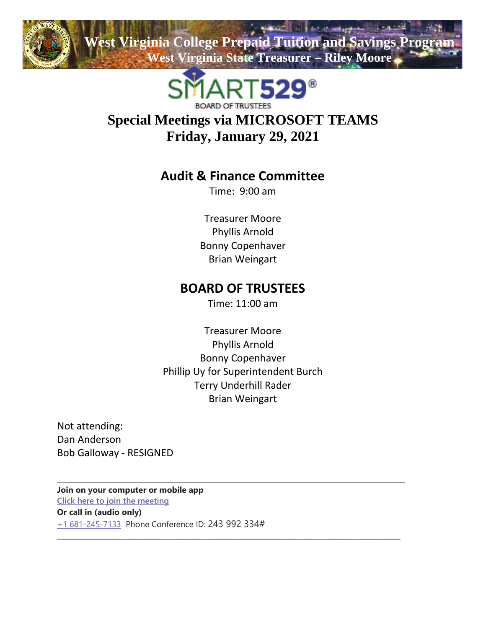

**Wirginia College Prepaid Tuition and Savings Program West Virginia State Treasurer – Riley Moore**



# **Special Meetings via MICROSOFT TEAMS Friday, January 29, 2021**

## **Audit & Finance Committee**

Time: 9:00 am

Treasurer Moore Phyllis Arnold Bonny Copenhaver Brian Weingart

## **BOARD OF TRUSTEES**

Time: 11:00 am

Treasurer Moore Phyllis Arnold Bonny Copenhaver Phillip Uy for Superintendent Burch Terry Underhill Rader Brian Weingart

\_\_\_\_\_\_\_\_\_\_\_\_\_\_\_\_\_\_\_\_\_\_\_\_\_\_\_\_\_\_\_\_\_\_\_\_\_\_\_\_\_\_\_\_\_\_\_\_\_\_\_\_\_\_\_\_\_\_\_\_\_\_\_\_\_\_\_\_\_\_\_\_\_\_\_\_\_\_\_\_

\_\_\_\_\_\_\_\_\_\_\_\_\_\_\_\_\_\_\_\_\_\_\_\_\_\_\_\_\_\_\_\_\_\_\_\_\_\_\_\_\_\_\_\_\_\_\_\_\_\_\_\_\_\_\_\_\_\_\_\_\_\_\_\_\_\_\_\_\_\_\_\_\_\_\_\_\_\_\_

Not attending: Dan Anderson Bob Galloway - RESIGNED

**Join on your computer or mobile app [Click here to join the meeting](https://teams.microsoft.com/l/meetup-join/19%3ameeting_OTEzZGE0NGMtZTVmNC00NjBjLWIwODQtZWJjNTU5ZmM4MjQx%40thread.v2/0?context=%7b%22Tid%22%3a%22fc94f18b-f843-4fb4-98d1-d83329fc0c2c%22%2c%22Oid%22%3a%228655c010-26f7-4b3b-af52-28222d3f492e%22%7d) Or call in (audio only)** [+1 681-245-7133](tel:+16812457133,,243992334#%20) Phone Conference ID: 243 992 334#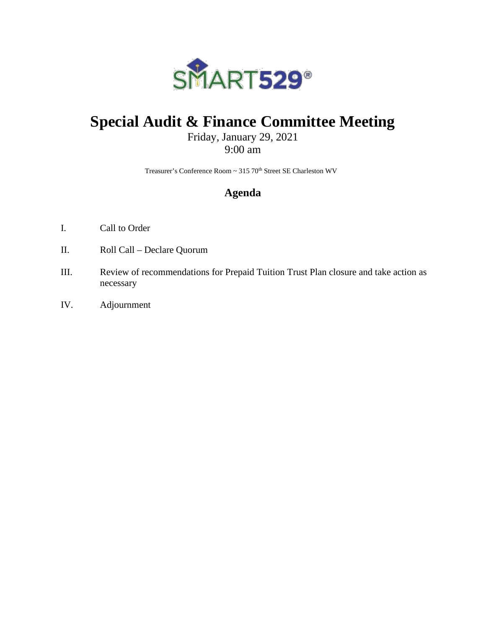

# **Special Audit & Finance Committee Meeting**

## Friday, January 29, 2021 9:00 am

Treasurer's Conference Room ~ 315 70<sup>th</sup> Street SE Charleston WV

## **Agenda**

- I. Call to Order
- II. Roll Call Declare Quorum
- III. Review of recommendations for Prepaid Tuition Trust Plan closure and take action as necessary
- IV. Adjournment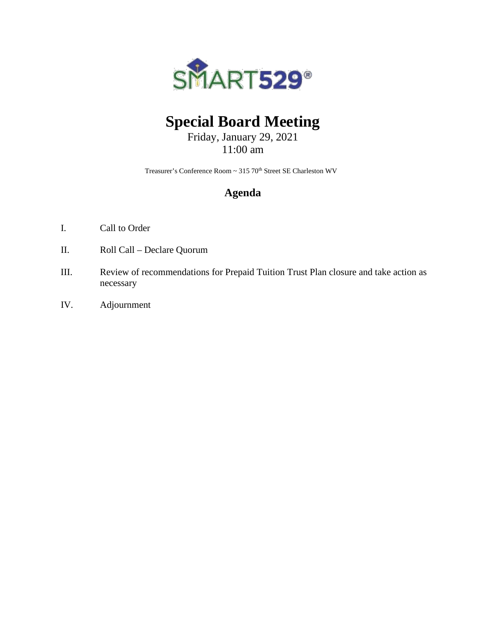

# **Special Board Meeting**

Friday, January 29, 2021 11:00 am

Treasurer's Conference Room ~ 315 70<sup>th</sup> Street SE Charleston WV

## **Agenda**

- I. Call to Order
- II. Roll Call Declare Quorum
- III. Review of recommendations for Prepaid Tuition Trust Plan closure and take action as necessary
- IV. Adjournment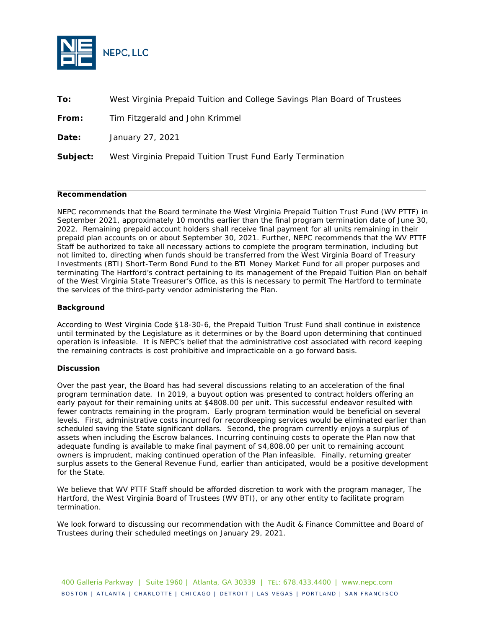

**To:** West Virginia Prepaid Tuition and College Savings Plan Board of Trustees

**From:** Tim Fitzgerald and John Krimmel

**Date:** January 27, 2021

**Subject:** West Virginia Prepaid Tuition Trust Fund Early Termination

#### **Recommendation**

NEPC recommends that the Board terminate the West Virginia Prepaid Tuition Trust Fund (WV PTTF) in September 2021, approximately 10 months earlier than the final program termination date of June 30, 2022. Remaining prepaid account holders shall receive final payment for all units remaining in their prepaid plan accounts on or about September 30, 2021. Further, NEPC recommends that the WV PTTF Staff be authorized to take all necessary actions to complete the program termination, including but not limited to, directing when funds should be transferred from the West Virginia Board of Treasury Investments (BTI) Short-Term Bond Fund to the BTI Money Market Fund for all proper purposes and terminating The Hartford's contract pertaining to its management of the Prepaid Tuition Plan on behalf of the West Virginia State Treasurer's Office, as this is necessary to permit The Hartford to terminate the services of the third-party vendor administering the Plan.

#### **Background**

According to West Virginia Code §18-30-6, the Prepaid Tuition Trust Fund shall continue in existence until terminated by the Legislature as it determines or by the Board upon determining that continued operation is infeasible. It is NEPC's belief that the administrative cost associated with record keeping the remaining contracts is cost prohibitive and impracticable on a go forward basis.

#### **Discussion**

Over the past year, the Board has had several discussions relating to an acceleration of the final program termination date. In 2019, a buyout option was presented to contract holders offering an early payout for their remaining units at \$4808.00 per unit. This successful endeavor resulted with fewer contracts remaining in the program. Early program termination would be beneficial on several levels. First, administrative costs incurred for recordkeeping services would be eliminated earlier than scheduled saving the State significant dollars. Second, the program currently enjoys a surplus of assets when including the Escrow balances. Incurring continuing costs to operate the Plan now that adequate funding is available to make final payment of \$4,808.00 per unit to remaining account owners is imprudent, making continued operation of the Plan infeasible. Finally, returning greater surplus assets to the General Revenue Fund, earlier than anticipated, would be a positive development for the State.

We believe that WV PTTF Staff should be afforded discretion to work with the program manager, The Hartford, the West Virginia Board of Trustees (WV BTI), or any other entity to facilitate program termination.

We look forward to discussing our recommendation with the Audit & Finance Committee and Board of Trustees during their scheduled meetings on January 29, 2021.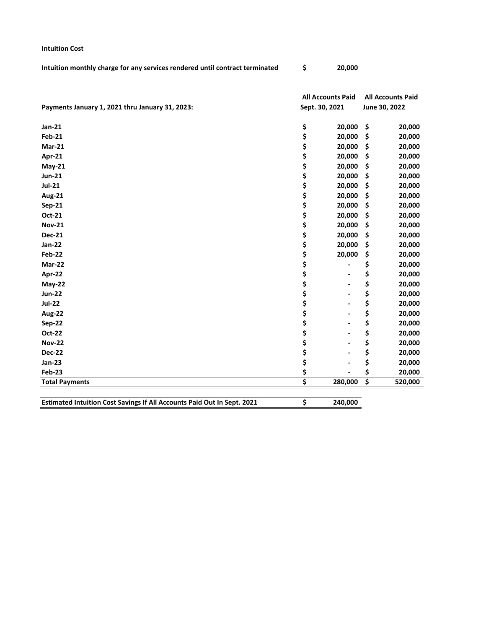| Intuition monthly charge for any services rendered until contract terminated | 20,000 |
|------------------------------------------------------------------------------|--------|

**Intuition Cost**

|                                                 | <b>All Accounts Paid</b> |                | <b>All Accounts Paid</b> |               |  |
|-------------------------------------------------|--------------------------|----------------|--------------------------|---------------|--|
| Payments January 1, 2021 thru January 31, 2023: |                          | Sept. 30, 2021 |                          | June 30, 2022 |  |
| Jan-21                                          | \$                       | 20,000         | \$                       | 20,000        |  |
| <b>Feb-21</b>                                   | \$                       | 20,000         | \$                       | 20,000        |  |
| <b>Mar-21</b>                                   | \$                       | 20,000         | \$                       | 20,000        |  |
| Apr-21                                          | \$                       | 20,000         | \$                       | 20,000        |  |
| $May-21$                                        | \$                       | 20,000         | \$                       | 20,000        |  |
| <b>Jun-21</b>                                   | \$                       | 20,000         | \$                       | 20,000        |  |
| $Jul-21$                                        | \$                       | 20,000         | \$                       | 20,000        |  |
| <b>Aug-21</b>                                   | \$                       | 20,000         | \$                       | 20,000        |  |
| <b>Sep-21</b>                                   | \$                       | 20,000         | \$                       | 20,000        |  |
| Oct-21                                          | \$                       | 20,000         | \$                       | 20,000        |  |
| <b>Nov-21</b>                                   | \$                       | 20,000         | \$                       | 20,000        |  |
| <b>Dec-21</b>                                   | \$                       | 20,000         | \$                       | 20,000        |  |
| Jan-22                                          | \$                       | 20,000         | \$                       | 20,000        |  |
| <b>Feb-22</b>                                   | \$                       | 20,000         | \$                       | 20,000        |  |
| Mar-22                                          | \$                       |                | \$                       | 20,000        |  |
| Apr-22                                          | \$                       |                | \$                       | 20,000        |  |
| May-22                                          | \$                       |                | \$                       | 20,000        |  |
| <b>Jun-22</b>                                   | \$                       |                | \$                       | 20,000        |  |
| <b>Jul-22</b>                                   | \$                       |                | \$                       | 20,000        |  |
| Aug-22                                          | \$                       |                | \$                       | 20,000        |  |
| <b>Sep-22</b>                                   | \$                       |                | \$                       | 20,000        |  |
| Oct-22                                          | \$                       |                | \$                       | 20,000        |  |
| <b>Nov-22</b>                                   | \$                       |                | \$                       | 20,000        |  |
| <b>Dec-22</b>                                   | \$                       |                | \$                       | 20,000        |  |
| <b>Jan-23</b>                                   | \$                       |                | \$                       | 20,000        |  |
| <b>Feb-23</b>                                   | \$                       |                | \$                       | 20,000        |  |
| <b>Total Payments</b>                           | \$                       | 280,000        | \$                       | 520,000       |  |
|                                                 |                          |                |                          |               |  |

**Estimated Intuition Cost Savings If All Accounts Paid Out In Sept. 2021 \$ 240,000**